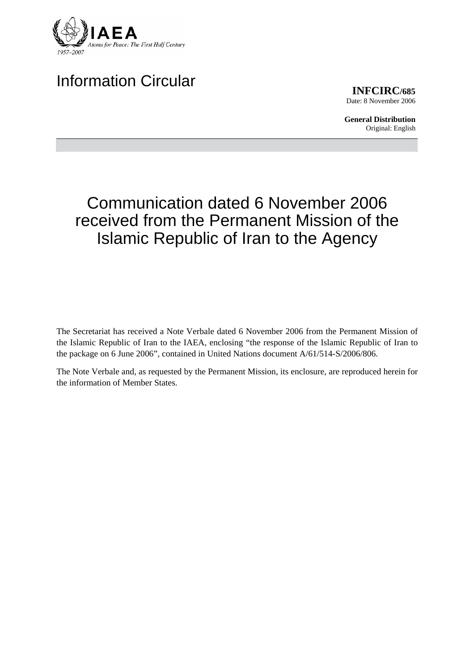

# Information Circular

**INFCIRC/685** Date: 8 November 2006

**General Distribution** Original: English

# Communication dated 6 November 2006 received from the Permanent Mission of the Islamic Republic of Iran to the Agency

The Secretariat has received a Note Verbale dated 6 November 2006 from the Permanent Mission of the Islamic Republic of Iran to the IAEA, enclosing "the response of the Islamic Republic of Iran to the package on 6 June 2006", contained in United Nations document A/61/514-S/2006/806.

The Note Verbale and, as requested by the Permanent Mission, its enclosure, are reproduced herein for the information of Member States.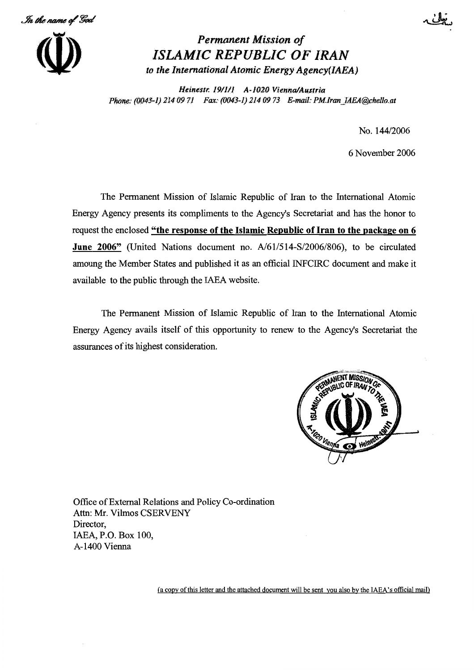In the name of God



# Permanent Mission of ISLAMIC REPUBLIC OF IRAN to the International Atomic Energy Agency(IAEA)

Heinestr. 19/1/1 A-1020 Vienna/Austria Phone: (0043-1) 214 09 71 Fax: (0043-1) 214 09 73 E-mail: PM.Iran IAEA@chello.at

No. 144/2006

6 November 2006

The Permanent Mission of Islamic Republic of Iran to the International Atomic Energy Agency presents its compliments to the Agency's Secretariat and has the honor to request the enclosed "the response of the Islamic Republic of Iran to the package on 6 June 2006" (United Nations document no. A/61/514-S/2006/806), to be circulated amoung the Member States and published it as an official INFCIRC document and make it available to the public through the IAEA website.

The Permanent Mission of Islamic Republic of Iran to the International Atomic Energy Agency avails itself of this opportunity to renew to the Agency's Secretariat the assurances of its highest consideration.



Office of External Relations and Policy Co-ordination Attn: Mr. Vilmos CSERVENY Director, IAEA, P.O. Box 100, A-1400 Vienna

(a copy of this letter and the attached document will be sent you also by the IAEA's official mail)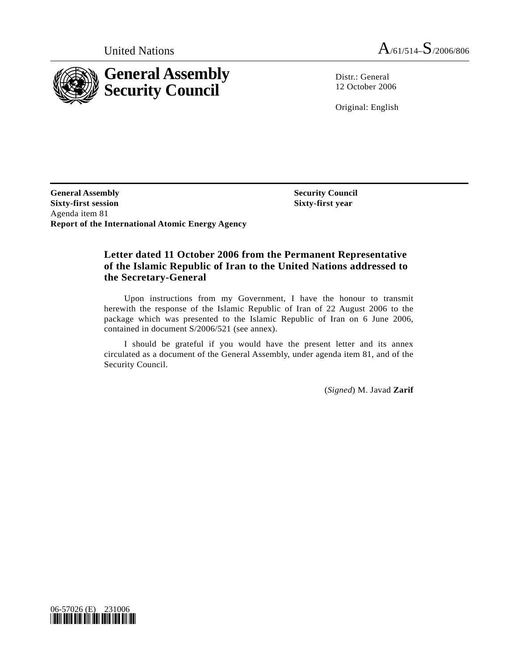

United Nations  $A_{/61/514} - S_{/2006/806}$ 

Distr.: General 12 October 2006

Original: English

**General Assembly Sixty-first session**  Agenda item 81 **Report of the International Atomic Energy Agency** 

 **Security Council Sixty-first year** 

#### **Letter dated 11 October 2006 from the Permanent Representative of the Islamic Republic of Iran to the United Nations addressed to the Secretary-General**

 Upon instructions from my Government, I have the honour to transmit herewith the response of the Islamic Republic of Iran of 22 August 2006 to the package which was presented to the Islamic Republic of Iran on 6 June 2006, contained in document S/2006/521 (see annex).

 I should be grateful if you would have the present letter and its annex circulated as a document of the General Assembly, under agenda item 81, and of the Security Council.

(*Signed*) M. Javad **Zarif** 

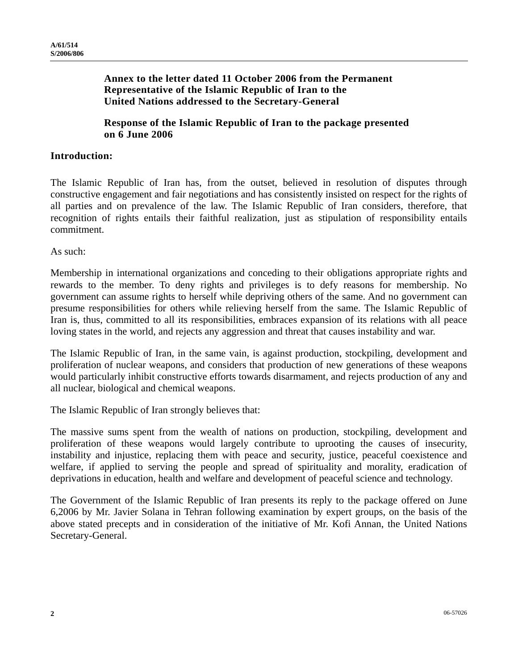### **Annex to the letter dated 11 October 2006 from the Permanent Representative of the Islamic Republic of Iran to the United Nations addressed to the Secretary-General**

 **Response of the Islamic Republic of Iran to the package presented on 6 June 2006** 

### **Introduction:**

The Islamic Republic of Iran has, from the outset, believed in resolution of disputes through constructive engagement and fair negotiations and has consistently insisted on respect for the rights of all parties and on prevalence of the law. The Islamic Republic of Iran considers, therefore, that recognition of rights entails their faithful realization, just as stipulation of responsibility entails commitment.

As such:

Membership in international organizations and conceding to their obligations appropriate rights and rewards to the member. To deny rights and privileges is to defy reasons for membership. No government can assume rights to herself while depriving others of the same. And no government can presume responsibilities for others while relieving herself from the same. The Islamic Republic of Iran is, thus, committed to all its responsibilities, embraces expansion of its relations with all peace loving states in the world, and rejects any aggression and threat that causes instability and war.

The Islamic Republic of Iran, in the same vain, is against production, stockpiling, development and proliferation of nuclear weapons, and considers that production of new generations of these weapons would particularly inhibit constructive efforts towards disarmament, and rejects production of any and all nuclear, biological and chemical weapons.

The Islamic Republic of Iran strongly believes that:

The massive sums spent from the wealth of nations on production, stockpiling, development and proliferation of these weapons would largely contribute to uprooting the causes of insecurity, instability and injustice, replacing them with peace and security, justice, peaceful coexistence and welfare, if applied to serving the people and spread of spirituality and morality, eradication of deprivations in education, health and welfare and development of peaceful science and technology.

The Government of the Islamic Republic of Iran presents its reply to the package offered on June 6,2006 by Mr. Javier Solana in Tehran following examination by expert groups, on the basis of the above stated precepts and in consideration of the initiative of Mr. Kofi Annan, the United Nations Secretary-General.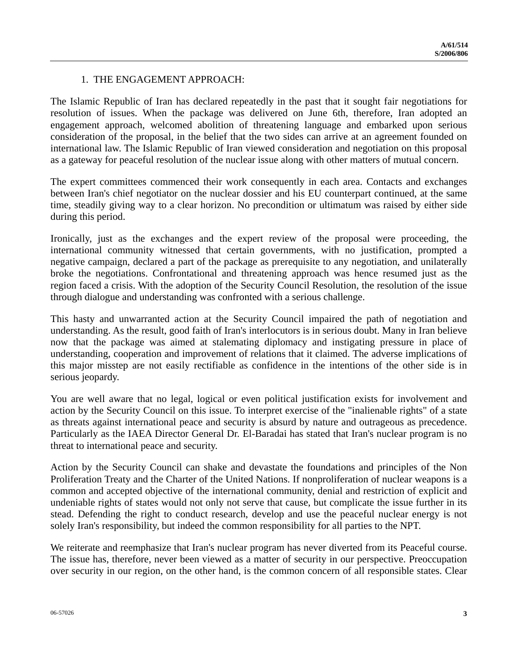## 1. THE ENGAGEMENT APPROACH:

The Islamic Republic of Iran has declared repeatedly in the past that it sought fair negotiations for resolution of issues. When the package was delivered on June 6th, therefore, Iran adopted an engagement approach, welcomed abolition of threatening language and embarked upon serious consideration of the proposal, in the belief that the two sides can arrive at an agreement founded on international law. The Islamic Republic of Iran viewed consideration and negotiation on this proposal as a gateway for peaceful resolution of the nuclear issue along with other matters of mutual concern.

The expert committees commenced their work consequently in each area. Contacts and exchanges between Iran's chief negotiator on the nuclear dossier and his EU counterpart continued, at the same time, steadily giving way to a clear horizon. No precondition or ultimatum was raised by either side during this period.

Ironically, just as the exchanges and the expert review of the proposal were proceeding, the international community witnessed that certain governments, with no justification, prompted a negative campaign, declared a part of the package as prerequisite to any negotiation, and unilaterally broke the negotiations. Confrontational and threatening approach was hence resumed just as the region faced a crisis. With the adoption of the Security Council Resolution, the resolution of the issue through dialogue and understanding was confronted with a serious challenge.

This hasty and unwarranted action at the Security Council impaired the path of negotiation and understanding. As the result, good faith of Iran's interlocutors is in serious doubt. Many in Iran believe now that the package was aimed at stalemating diplomacy and instigating pressure in place of understanding, cooperation and improvement of relations that it claimed. The adverse implications of this major misstep are not easily rectifiable as confidence in the intentions of the other side is in serious jeopardy.

You are well aware that no legal, logical or even political justification exists for involvement and action by the Security Council on this issue. To interpret exercise of the "inalienable rights" of a state as threats against international peace and security is absurd by nature and outrageous as precedence. Particularly as the IAEA Director General Dr. El-Baradai has stated that Iran's nuclear program is no threat to international peace and security.

Action by the Security Council can shake and devastate the foundations and principles of the Non Proliferation Treaty and the Charter of the United Nations. If nonproliferation of nuclear weapons is a common and accepted objective of the international community, denial and restriction of explicit and undeniable rights of states would not only not serve that cause, but complicate the issue further in its stead. Defending the right to conduct research, develop and use the peaceful nuclear energy is not solely Iran's responsibility, but indeed the common responsibility for all parties to the NPT.

We reiterate and reemphasize that Iran's nuclear program has never diverted from its Peaceful course. The issue has, therefore, never been viewed as a matter of security in our perspective. Preoccupation over security in our region, on the other hand, is the common concern of all responsible states. Clear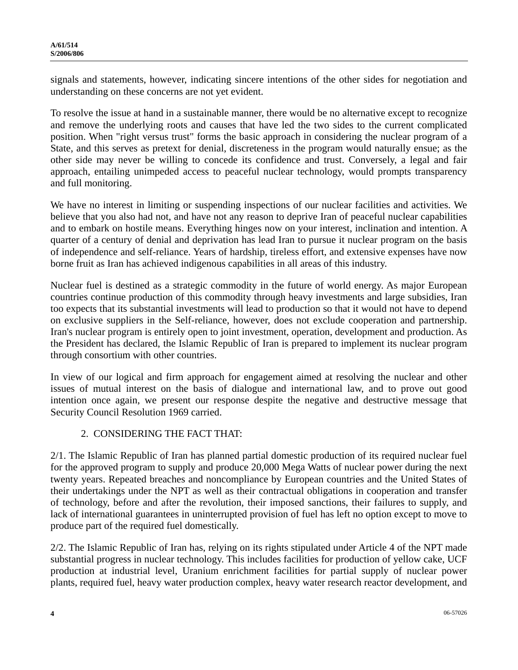signals and statements, however, indicating sincere intentions of the other sides for negotiation and understanding on these concerns are not yet evident.

To resolve the issue at hand in a sustainable manner, there would be no alternative except to recognize and remove the underlying roots and causes that have led the two sides to the current complicated position. When "right versus trust" forms the basic approach in considering the nuclear program of a State, and this serves as pretext for denial, discreteness in the program would naturally ensue; as the other side may never be willing to concede its confidence and trust. Conversely, a legal and fair approach, entailing unimpeded access to peaceful nuclear technology, would prompts transparency and full monitoring.

We have no interest in limiting or suspending inspections of our nuclear facilities and activities. We believe that you also had not, and have not any reason to deprive Iran of peaceful nuclear capabilities and to embark on hostile means. Everything hinges now on your interest, inclination and intention. A quarter of a century of denial and deprivation has lead Iran to pursue it nuclear program on the basis of independence and self-reliance. Years of hardship, tireless effort, and extensive expenses have now borne fruit as Iran has achieved indigenous capabilities in all areas of this industry.

Nuclear fuel is destined as a strategic commodity in the future of world energy. As major European countries continue production of this commodity through heavy investments and large subsidies, Iran too expects that its substantial investments will lead to production so that it would not have to depend on exclusive suppliers in the Self-reliance, however, does not exclude cooperation and partnership. Iran's nuclear program is entirely open to joint investment, operation, development and production. As the President has declared, the Islamic Republic of Iran is prepared to implement its nuclear program through consortium with other countries.

In view of our logical and firm approach for engagement aimed at resolving the nuclear and other issues of mutual interest on the basis of dialogue and international law, and to prove out good intention once again, we present our response despite the negative and destructive message that Security Council Resolution 1969 carried.

# 2. CONSIDERING THE FACT THAT:

2/1. The Islamic Republic of Iran has planned partial domestic production of its required nuclear fuel for the approved program to supply and produce 20,000 Mega Watts of nuclear power during the next twenty years. Repeated breaches and noncompliance by European countries and the United States of their undertakings under the NPT as well as their contractual obligations in cooperation and transfer of technology, before and after the revolution, their imposed sanctions, their failures to supply, and lack of international guarantees in uninterrupted provision of fuel has left no option except to move to produce part of the required fuel domestically.

2/2. The Islamic Republic of Iran has, relying on its rights stipulated under Article 4 of the NPT made substantial progress in nuclear technology. This includes facilities for production of yellow cake, UCF production at industrial level, Uranium enrichment facilities for partial supply of nuclear power plants, required fuel, heavy water production complex, heavy water research reactor development, and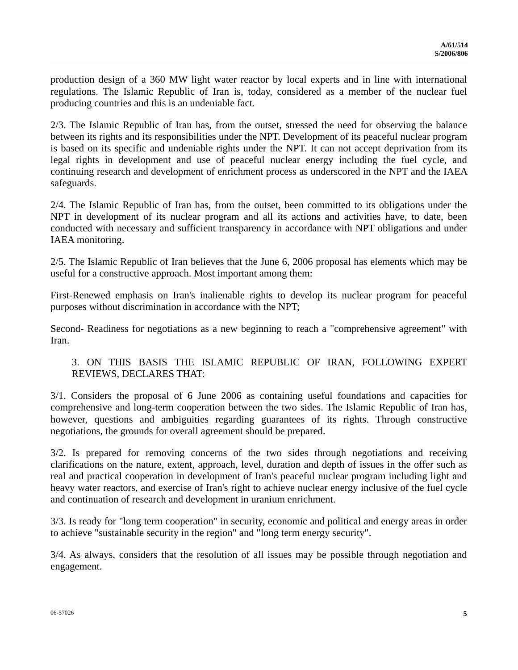production design of a 360 MW light water reactor by local experts and in line with international regulations. The Islamic Republic of Iran is, today, considered as a member of the nuclear fuel producing countries and this is an undeniable fact.

2/3. The Islamic Republic of Iran has, from the outset, stressed the need for observing the balance between its rights and its responsibilities under the NPT. Development of its peaceful nuclear program is based on its specific and undeniable rights under the NPT. It can not accept deprivation from its legal rights in development and use of peaceful nuclear energy including the fuel cycle, and continuing research and development of enrichment process as underscored in the NPT and the IAEA safeguards.

2/4. The Islamic Republic of Iran has, from the outset, been committed to its obligations under the NPT in development of its nuclear program and all its actions and activities have, to date, been conducted with necessary and sufficient transparency in accordance with NPT obligations and under IAEA monitoring.

2/5. The Islamic Republic of Iran believes that the June 6, 2006 proposal has elements which may be useful for a constructive approach. Most important among them:

First-Renewed emphasis on Iran's inalienable rights to develop its nuclear program for peaceful purposes without discrimination in accordance with the NPT;

Second- Readiness for negotiations as a new beginning to reach a "comprehensive agreement" with Iran.

# 3. ON THIS BASIS THE ISLAMIC REPUBLIC OF IRAN, FOLLOWING EXPERT REVIEWS, DECLARES THAT:

3/1. Considers the proposal of 6 June 2006 as containing useful foundations and capacities for comprehensive and long-term cooperation between the two sides. The Islamic Republic of Iran has, however, questions and ambiguities regarding guarantees of its rights. Through constructive negotiations, the grounds for overall agreement should be prepared.

3/2. Is prepared for removing concerns of the two sides through negotiations and receiving clarifications on the nature, extent, approach, level, duration and depth of issues in the offer such as real and practical cooperation in development of Iran's peaceful nuclear program including light and heavy water reactors, and exercise of Iran's right to achieve nuclear energy inclusive of the fuel cycle and continuation of research and development in uranium enrichment.

3/3. Is ready for "long term cooperation" in security, economic and political and energy areas in order to achieve "sustainable security in the region" and "long term energy security".

3/4. As always, considers that the resolution of all issues may be possible through negotiation and engagement.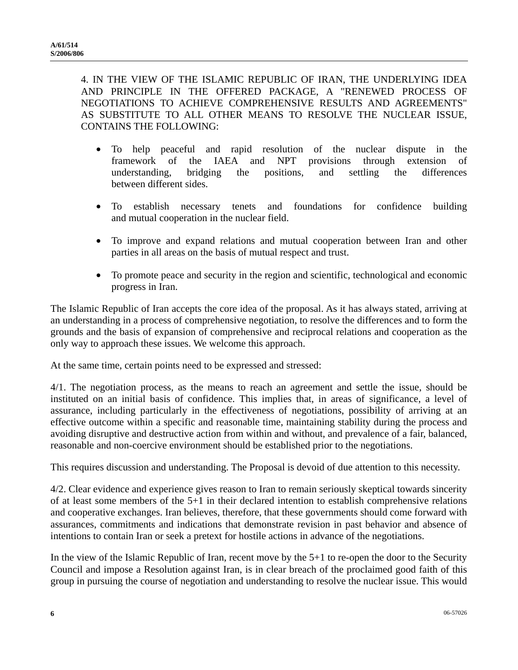4. IN THE VIEW OF THE ISLAMIC REPUBLIC OF IRAN, THE UNDERLYING IDEA AND PRINCIPLE IN THE OFFERED PACKAGE, A "RENEWED PROCESS OF NEGOTIATIONS TO ACHIEVE COMPREHENSIVE RESULTS AND AGREEMENTS" AS SUBSTITUTE TO ALL OTHER MEANS TO RESOLVE THE NUCLEAR ISSUE, CONTAINS THE FOLLOWING:

- To help peaceful and rapid resolution of the nuclear dispute in the framework of the IAEA and NPT provisions through extension of understanding, bridging the positions, and settling the differences between different sides.
- To establish necessary tenets and foundations for confidence building and mutual cooperation in the nuclear field.
- To improve and expand relations and mutual cooperation between Iran and other parties in all areas on the basis of mutual respect and trust.
- To promote peace and security in the region and scientific, technological and economic progress in Iran.

The Islamic Republic of Iran accepts the core idea of the proposal. As it has always stated, arriving at an understanding in a process of comprehensive negotiation, to resolve the differences and to form the grounds and the basis of expansion of comprehensive and reciprocal relations and cooperation as the only way to approach these issues. We welcome this approach.

At the same time, certain points need to be expressed and stressed:

4/1. The negotiation process, as the means to reach an agreement and settle the issue, should be instituted on an initial basis of confidence. This implies that, in areas of significance, a level of assurance, including particularly in the effectiveness of negotiations, possibility of arriving at an effective outcome within a specific and reasonable time, maintaining stability during the process and avoiding disruptive and destructive action from within and without, and prevalence of a fair, balanced, reasonable and non-coercive environment should be established prior to the negotiations.

This requires discussion and understanding. The Proposal is devoid of due attention to this necessity.

4/2. Clear evidence and experience gives reason to Iran to remain seriously skeptical towards sincerity of at least some members of the 5+1 in their declared intention to establish comprehensive relations and cooperative exchanges. Iran believes, therefore, that these governments should come forward with assurances, commitments and indications that demonstrate revision in past behavior and absence of intentions to contain Iran or seek a pretext for hostile actions in advance of the negotiations.

In the view of the Islamic Republic of Iran, recent move by the 5+1 to re-open the door to the Security Council and impose a Resolution against Iran, is in clear breach of the proclaimed good faith of this group in pursuing the course of negotiation and understanding to resolve the nuclear issue. This would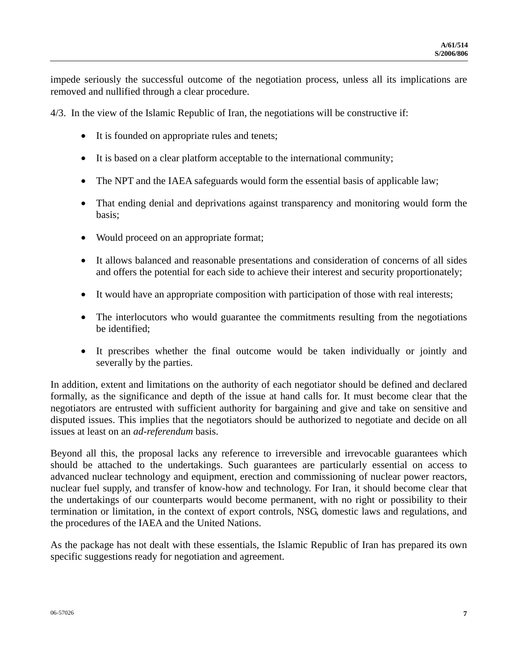impede seriously the successful outcome of the negotiation process, unless all its implications are removed and nullified through a clear procedure.

4/3. In the view of the Islamic Republic of Iran, the negotiations will be constructive if:

- It is founded on appropriate rules and tenets;
- It is based on a clear platform acceptable to the international community;
- The NPT and the IAEA safeguards would form the essential basis of applicable law;
- That ending denial and deprivations against transparency and monitoring would form the basis;
- Would proceed on an appropriate format;
- It allows balanced and reasonable presentations and consideration of concerns of all sides and offers the potential for each side to achieve their interest and security proportionately;
- It would have an appropriate composition with participation of those with real interests;
- The interlocutors who would guarantee the commitments resulting from the negotiations be identified;
- It prescribes whether the final outcome would be taken individually or jointly and severally by the parties.

In addition, extent and limitations on the authority of each negotiator should be defined and declared formally, as the significance and depth of the issue at hand calls for. It must become clear that the negotiators are entrusted with sufficient authority for bargaining and give and take on sensitive and disputed issues. This implies that the negotiators should be authorized to negotiate and decide on all issues at least on an *ad-referendum* basis.

Beyond all this, the proposal lacks any reference to irreversible and irrevocable guarantees which should be attached to the undertakings. Such guarantees are particularly essential on access to advanced nuclear technology and equipment, erection and commissioning of nuclear power reactors, nuclear fuel supply, and transfer of know-how and technology. For Iran, it should become clear that the undertakings of our counterparts would become permanent, with no right or possibility to their termination or limitation, in the context of export controls, NSG, domestic laws and regulations, and the procedures of the IAEA and the United Nations.

As the package has not dealt with these essentials, the Islamic Republic of Iran has prepared its own specific suggestions ready for negotiation and agreement.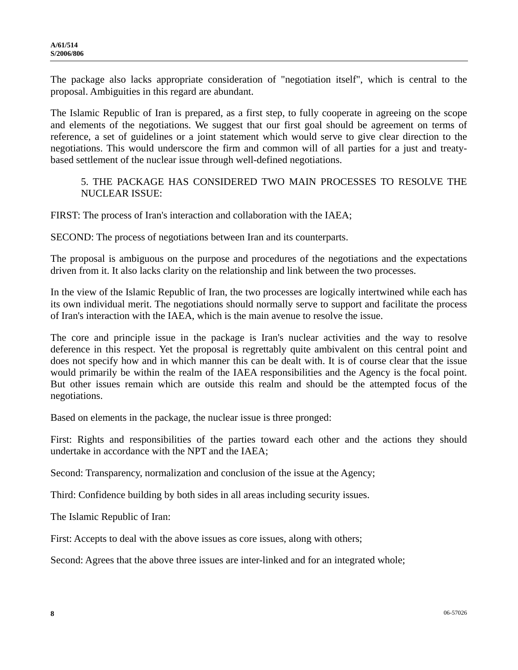The package also lacks appropriate consideration of "negotiation itself", which is central to the proposal. Ambiguities in this regard are abundant.

The Islamic Republic of Iran is prepared, as a first step, to fully cooperate in agreeing on the scope and elements of the negotiations. We suggest that our first goal should be agreement on terms of reference, a set of guidelines or a joint statement which would serve to give clear direction to the negotiations. This would underscore the firm and common will of all parties for a just and treatybased settlement of the nuclear issue through well-defined negotiations.

### 5. THE PACKAGE HAS CONSIDERED TWO MAIN PROCESSES TO RESOLVE THE NUCLEAR ISSUE:

FIRST: The process of Iran's interaction and collaboration with the IAEA;

SECOND: The process of negotiations between Iran and its counterparts.

The proposal is ambiguous on the purpose and procedures of the negotiations and the expectations driven from it. It also lacks clarity on the relationship and link between the two processes.

In the view of the Islamic Republic of Iran, the two processes are logically intertwined while each has its own individual merit. The negotiations should normally serve to support and facilitate the process of Iran's interaction with the IAEA, which is the main avenue to resolve the issue.

The core and principle issue in the package is Iran's nuclear activities and the way to resolve deference in this respect. Yet the proposal is regrettably quite ambivalent on this central point and does not specify how and in which manner this can be dealt with. It is of course clear that the issue would primarily be within the realm of the IAEA responsibilities and the Agency is the focal point. But other issues remain which are outside this realm and should be the attempted focus of the negotiations.

Based on elements in the package, the nuclear issue is three pronged:

First: Rights and responsibilities of the parties toward each other and the actions they should undertake in accordance with the NPT and the IAEA;

Second: Transparency, normalization and conclusion of the issue at the Agency;

Third: Confidence building by both sides in all areas including security issues.

The Islamic Republic of Iran:

First: Accepts to deal with the above issues as core issues, along with others;

Second: Agrees that the above three issues are inter-linked and for an integrated whole;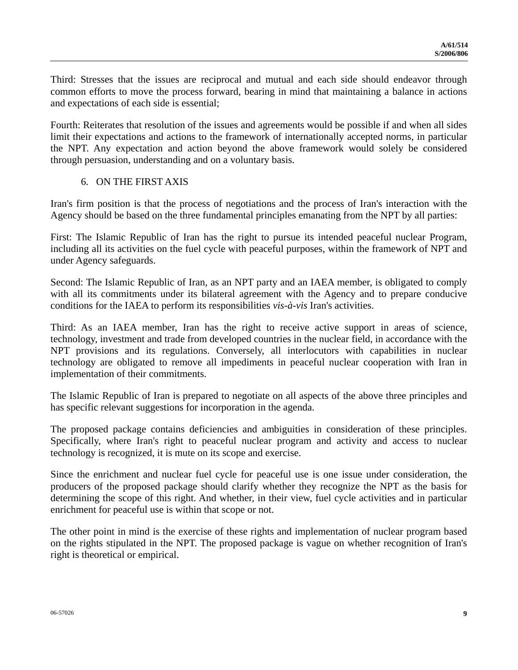Third: Stresses that the issues are reciprocal and mutual and each side should endeavor through common efforts to move the process forward, bearing in mind that maintaining a balance in actions and expectations of each side is essential;

Fourth: Reiterates that resolution of the issues and agreements would be possible if and when all sides limit their expectations and actions to the framework of internationally accepted norms, in particular the NPT. Any expectation and action beyond the above framework would solely be considered through persuasion, understanding and on a voluntary basis.

### 6. ON THE FIRST AXIS

Iran's firm position is that the process of negotiations and the process of Iran's interaction with the Agency should be based on the three fundamental principles emanating from the NPT by all parties:

First: The Islamic Republic of Iran has the right to pursue its intended peaceful nuclear Program, including all its activities on the fuel cycle with peaceful purposes, within the framework of NPT and under Agency safeguards.

Second: The Islamic Republic of Iran, as an NPT party and an IAEA member, is obligated to comply with all its commitments under its bilateral agreement with the Agency and to prepare conducive conditions for the IAEA to perform its responsibilities *vis-à-vis* Iran's activities.

Third: As an IAEA member, Iran has the right to receive active support in areas of science, technology, investment and trade from developed countries in the nuclear field, in accordance with the NPT provisions and its regulations. Conversely, all interlocutors with capabilities in nuclear technology are obligated to remove all impediments in peaceful nuclear cooperation with Iran in implementation of their commitments.

The Islamic Republic of Iran is prepared to negotiate on all aspects of the above three principles and has specific relevant suggestions for incorporation in the agenda.

The proposed package contains deficiencies and ambiguities in consideration of these principles. Specifically, where Iran's right to peaceful nuclear program and activity and access to nuclear technology is recognized, it is mute on its scope and exercise.

Since the enrichment and nuclear fuel cycle for peaceful use is one issue under consideration, the producers of the proposed package should clarify whether they recognize the NPT as the basis for determining the scope of this right. And whether, in their view, fuel cycle activities and in particular enrichment for peaceful use is within that scope or not.

The other point in mind is the exercise of these rights and implementation of nuclear program based on the rights stipulated in the NPT. The proposed package is vague on whether recognition of Iran's right is theoretical or empirical.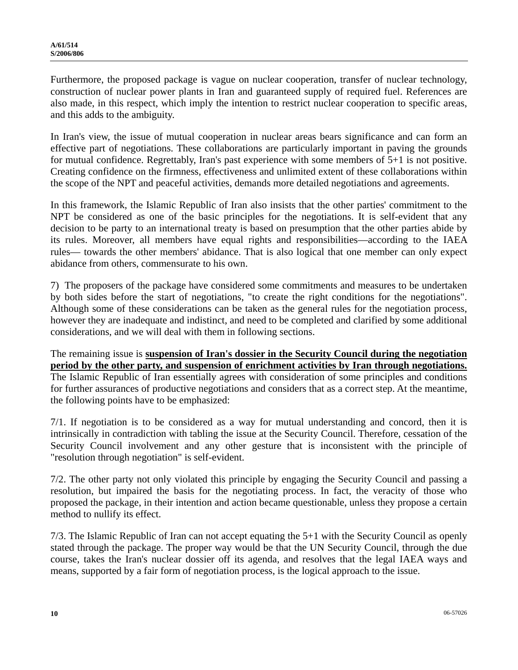Furthermore, the proposed package is vague on nuclear cooperation, transfer of nuclear technology, construction of nuclear power plants in Iran and guaranteed supply of required fuel. References are also made, in this respect, which imply the intention to restrict nuclear cooperation to specific areas, and this adds to the ambiguity.

In Iran's view, the issue of mutual cooperation in nuclear areas bears significance and can form an effective part of negotiations. These collaborations are particularly important in paving the grounds for mutual confidence. Regrettably, Iran's past experience with some members of 5+1 is not positive. Creating confidence on the firmness, effectiveness and unlimited extent of these collaborations within the scope of the NPT and peaceful activities, demands more detailed negotiations and agreements.

In this framework, the Islamic Republic of Iran also insists that the other parties' commitment to the NPT be considered as one of the basic principles for the negotiations. It is self-evident that any decision to be party to an international treaty is based on presumption that the other parties abide by its rules. Moreover, all members have equal rights and responsibilities—according to the IAEA rules— towards the other members' abidance. That is also logical that one member can only expect abidance from others, commensurate to his own.

7) The proposers of the package have considered some commitments and measures to be undertaken by both sides before the start of negotiations, "to create the right conditions for the negotiations". Although some of these considerations can be taken as the general rules for the negotiation process, however they are inadequate and indistinct, and need to be completed and clarified by some additional considerations, and we will deal with them in following sections.

The remaining issue is **suspension of Iran's dossier in the Security Council during the negotiation period by the other party, and suspension of enrichment activities by Iran through negotiations.** The Islamic Republic of Iran essentially agrees with consideration of some principles and conditions for further assurances of productive negotiations and considers that as a correct step. At the meantime, the following points have to be emphasized:

7/1. If negotiation is to be considered as a way for mutual understanding and concord, then it is intrinsically in contradiction with tabling the issue at the Security Council. Therefore, cessation of the Security Council involvement and any other gesture that is inconsistent with the principle of "resolution through negotiation" is self-evident.

7/2. The other party not only violated this principle by engaging the Security Council and passing a resolution, but impaired the basis for the negotiating process. In fact, the veracity of those who proposed the package, in their intention and action became questionable, unless they propose a certain method to nullify its effect.

7/3. The Islamic Republic of Iran can not accept equating the 5+1 with the Security Council as openly stated through the package. The proper way would be that the UN Security Council, through the due course, takes the Iran's nuclear dossier off its agenda, and resolves that the legal IAEA ways and means, supported by a fair form of negotiation process, is the logical approach to the issue.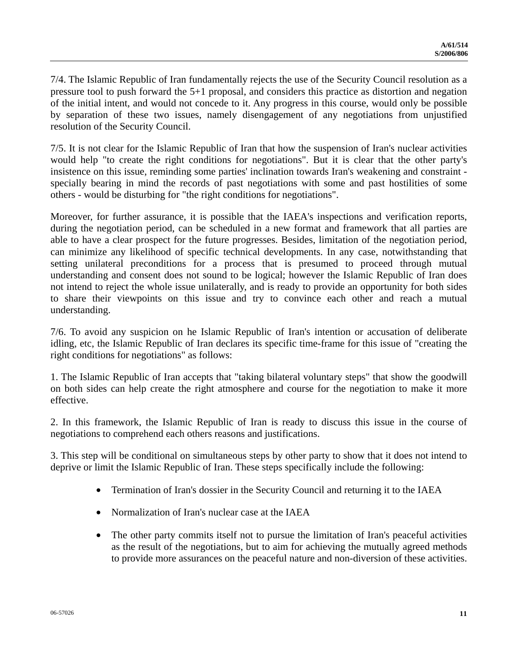7/4. The Islamic Republic of Iran fundamentally rejects the use of the Security Council resolution as a pressure tool to push forward the 5+1 proposal, and considers this practice as distortion and negation of the initial intent, and would not concede to it. Any progress in this course, would only be possible by separation of these two issues, namely disengagement of any negotiations from unjustified resolution of the Security Council.

7/5. It is not clear for the Islamic Republic of Iran that how the suspension of Iran's nuclear activities would help "to create the right conditions for negotiations". But it is clear that the other party's insistence on this issue, reminding some parties' inclination towards Iran's weakening and constraint specially bearing in mind the records of past negotiations with some and past hostilities of some others - would be disturbing for "the right conditions for negotiations".

Moreover, for further assurance, it is possible that the IAEA's inspections and verification reports, during the negotiation period, can be scheduled in a new format and framework that all parties are able to have a clear prospect for the future progresses. Besides, limitation of the negotiation period, can minimize any likelihood of specific technical developments. In any case, notwithstanding that setting unilateral preconditions for a process that is presumed to proceed through mutual understanding and consent does not sound to be logical; however the Islamic Republic of Iran does not intend to reject the whole issue unilaterally, and is ready to provide an opportunity for both sides to share their viewpoints on this issue and try to convince each other and reach a mutual understanding.

7/6. To avoid any suspicion on he Islamic Republic of Iran's intention or accusation of deliberate idling, etc, the Islamic Republic of Iran declares its specific time-frame for this issue of "creating the right conditions for negotiations" as follows:

1. The Islamic Republic of Iran accepts that "taking bilateral voluntary steps" that show the goodwill on both sides can help create the right atmosphere and course for the negotiation to make it more effective.

2. In this framework, the Islamic Republic of Iran is ready to discuss this issue in the course of negotiations to comprehend each others reasons and justifications.

3. This step will be conditional on simultaneous steps by other party to show that it does not intend to deprive or limit the Islamic Republic of Iran. These steps specifically include the following:

- Termination of Iran's dossier in the Security Council and returning it to the IAEA
- Normalization of Iran's nuclear case at the IAEA
- The other party commits itself not to pursue the limitation of Iran's peaceful activities as the result of the negotiations, but to aim for achieving the mutually agreed methods to provide more assurances on the peaceful nature and non-diversion of these activities.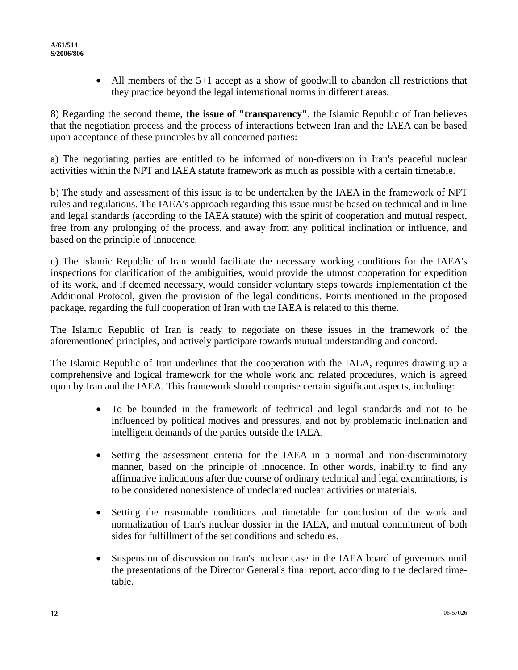• All members of the 5+1 accept as a show of goodwill to abandon all restrictions that they practice beyond the legal international norms in different areas.

8) Regarding the second theme, **the issue of "transparency"**, the Islamic Republic of Iran believes that the negotiation process and the process of interactions between Iran and the IAEA can be based upon acceptance of these principles by all concerned parties:

a) The negotiating parties are entitled to be informed of non-diversion in Iran's peaceful nuclear activities within the NPT and IAEA statute framework as much as possible with a certain timetable.

b) The study and assessment of this issue is to be undertaken by the IAEA in the framework of NPT rules and regulations. The IAEA's approach regarding this issue must be based on technical and in line and legal standards (according to the IAEA statute) with the spirit of cooperation and mutual respect, free from any prolonging of the process, and away from any political inclination or influence, and based on the principle of innocence.

c) The Islamic Republic of Iran would facilitate the necessary working conditions for the IAEA's inspections for clarification of the ambiguities, would provide the utmost cooperation for expedition of its work, and if deemed necessary, would consider voluntary steps towards implementation of the Additional Protocol, given the provision of the legal conditions. Points mentioned in the proposed package, regarding the full cooperation of Iran with the IAEA is related to this theme.

The Islamic Republic of Iran is ready to negotiate on these issues in the framework of the aforementioned principles, and actively participate towards mutual understanding and concord.

The Islamic Republic of Iran underlines that the cooperation with the IAEA, requires drawing up a comprehensive and logical framework for the whole work and related procedures, which is agreed upon by Iran and the IAEA. This framework should comprise certain significant aspects, including:

- To be bounded in the framework of technical and legal standards and not to be influenced by political motives and pressures, and not by problematic inclination and intelligent demands of the parties outside the IAEA.
- Setting the assessment criteria for the IAEA in a normal and non-discriminatory manner, based on the principle of innocence. In other words, inability to find any affirmative indications after due course of ordinary technical and legal examinations, is to be considered nonexistence of undeclared nuclear activities or materials.
- Setting the reasonable conditions and timetable for conclusion of the work and normalization of Iran's nuclear dossier in the IAEA, and mutual commitment of both sides for fulfillment of the set conditions and schedules.
- Suspension of discussion on Iran's nuclear case in the IAEA board of governors until the presentations of the Director General's final report, according to the declared timetable.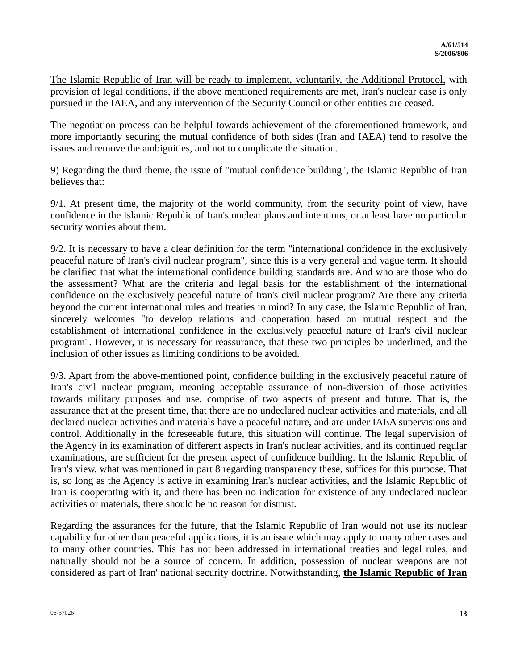The Islamic Republic of Iran will be ready to implement, voluntarily, the Additional Protocol, with provision of legal conditions, if the above mentioned requirements are met, Iran's nuclear case is only pursued in the IAEA, and any intervention of the Security Council or other entities are ceased.

The negotiation process can be helpful towards achievement of the aforementioned framework, and more importantly securing the mutual confidence of both sides (Iran and IAEA) tend to resolve the issues and remove the ambiguities, and not to complicate the situation.

9) Regarding the third theme, the issue of "mutual confidence building", the Islamic Republic of Iran believes that:

9/1. At present time, the majority of the world community, from the security point of view, have confidence in the Islamic Republic of Iran's nuclear plans and intentions, or at least have no particular security worries about them.

9/2. It is necessary to have a clear definition for the term "international confidence in the exclusively peaceful nature of Iran's civil nuclear program", since this is a very general and vague term. It should be clarified that what the international confidence building standards are. And who are those who do the assessment? What are the criteria and legal basis for the establishment of the international confidence on the exclusively peaceful nature of Iran's civil nuclear program? Are there any criteria beyond the current international rules and treaties in mind? In any case, the Islamic Republic of Iran, sincerely welcomes "to develop relations and cooperation based on mutual respect and the establishment of international confidence in the exclusively peaceful nature of Iran's civil nuclear program". However, it is necessary for reassurance, that these two principles be underlined, and the inclusion of other issues as limiting conditions to be avoided.

9/3. Apart from the above-mentioned point, confidence building in the exclusively peaceful nature of Iran's civil nuclear program, meaning acceptable assurance of non-diversion of those activities towards military purposes and use, comprise of two aspects of present and future. That is, the assurance that at the present time, that there are no undeclared nuclear activities and materials, and all declared nuclear activities and materials have a peaceful nature, and are under IAEA supervisions and control. Additionally in the foreseeable future, this situation will continue. The legal supervision of the Agency in its examination of different aspects in Iran's nuclear activities, and its continued regular examinations, are sufficient for the present aspect of confidence building. In the Islamic Republic of Iran's view, what was mentioned in part 8 regarding transparency these, suffices for this purpose. That is, so long as the Agency is active in examining Iran's nuclear activities, and the Islamic Republic of Iran is cooperating with it, and there has been no indication for existence of any undeclared nuclear activities or materials, there should be no reason for distrust.

Regarding the assurances for the future, that the Islamic Republic of Iran would not use its nuclear capability for other than peaceful applications, it is an issue which may apply to many other cases and to many other countries. This has not been addressed in international treaties and legal rules, and naturally should not be a source of concern. In addition, possession of nuclear weapons are not considered as part of Iran' national security doctrine. Notwithstanding, **the Islamic Republic of Iran**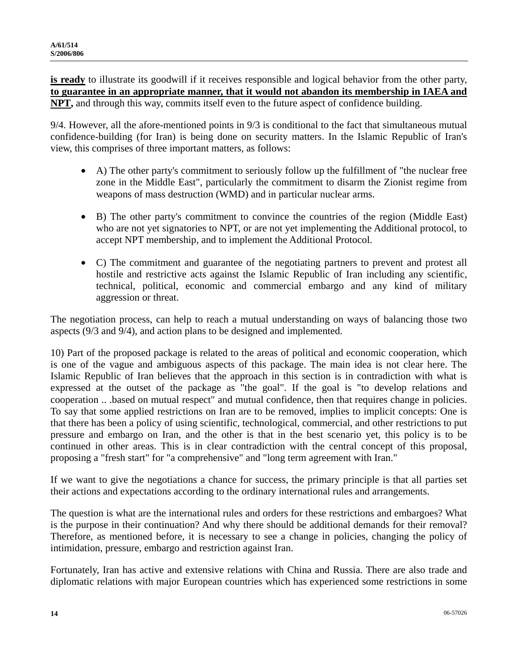**is ready** to illustrate its goodwill if it receives responsible and logical behavior from the other party, **to guarantee in an appropriate manner, that it would not abandon its membership in IAEA and NPT,** and through this way, commits itself even to the future aspect of confidence building.

9/4. However, all the afore-mentioned points in 9/3 is conditional to the fact that simultaneous mutual confidence-building (for Iran) is being done on security matters. In the Islamic Republic of Iran's view, this comprises of three important matters, as follows:

- A) The other party's commitment to seriously follow up the fulfillment of "the nuclear free zone in the Middle East", particularly the commitment to disarm the Zionist regime from weapons of mass destruction (WMD) and in particular nuclear arms.
- B) The other party's commitment to convince the countries of the region (Middle East) who are not yet signatories to NPT, or are not yet implementing the Additional protocol, to accept NPT membership, and to implement the Additional Protocol.
- C) The commitment and guarantee of the negotiating partners to prevent and protest all hostile and restrictive acts against the Islamic Republic of Iran including any scientific, technical, political, economic and commercial embargo and any kind of military aggression or threat.

The negotiation process, can help to reach a mutual understanding on ways of balancing those two aspects (9/3 and 9/4), and action plans to be designed and implemented.

10) Part of the proposed package is related to the areas of political and economic cooperation, which is one of the vague and ambiguous aspects of this package. The main idea is not clear here. The Islamic Republic of Iran believes that the approach in this section is in contradiction with what is expressed at the outset of the package as "the goal". If the goal is "to develop relations and cooperation .. .based on mutual respect" and mutual confidence, then that requires change in policies. To say that some applied restrictions on Iran are to be removed, implies to implicit concepts: One is that there has been a policy of using scientific, technological, commercial, and other restrictions to put pressure and embargo on Iran, and the other is that in the best scenario yet, this policy is to be continued in other areas. This is in clear contradiction with the central concept of this proposal, proposing a "fresh start" for "a comprehensive" and "long term agreement with Iran."

If we want to give the negotiations a chance for success, the primary principle is that all parties set their actions and expectations according to the ordinary international rules and arrangements.

The question is what are the international rules and orders for these restrictions and embargoes? What is the purpose in their continuation? And why there should be additional demands for their removal? Therefore, as mentioned before, it is necessary to see a change in policies, changing the policy of intimidation, pressure, embargo and restriction against Iran.

Fortunately, Iran has active and extensive relations with China and Russia. There are also trade and diplomatic relations with major European countries which has experienced some restrictions in some